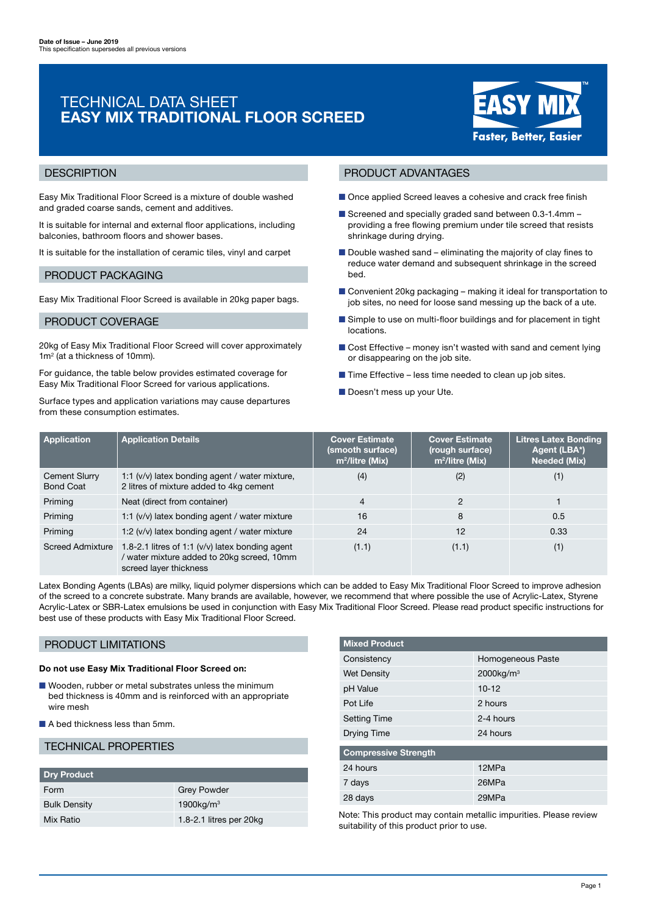# TECHNICAL DATA SHEET EASY MIX TRADITIONAL FLOOR SCREED



## **DESCRIPTION**

Easy Mix Traditional Floor Screed is a mixture of double washed and graded coarse sands, cement and additives.

It is suitable for internal and external floor applications, including balconies, bathroom floors and shower bases.

It is suitable for the installation of ceramic tiles, vinyl and carpet

## PRODUCT PACKAGING

Easy Mix Traditional Floor Screed is available in 20kg paper bags.

## PRODUCT COVERAGE

20kg of Easy Mix Traditional Floor Screed will cover approximately 1m<sup>2</sup> (at a thickness of 10mm).

For guidance, the table below provides estimated coverage for Easy Mix Traditional Floor Screed for various applications.

Surface types and application variations may cause departures from these consumption estimates.

## PRODUCT ADVANTAGES

- Once applied Screed leaves a cohesive and crack free finish
- Screened and specially graded sand between 0.3-1.4mm providing a free flowing premium under tile screed that resists shrinkage during drying.
- Double washed sand eliminating the majority of clay fines to reduce water demand and subsequent shrinkage in the screed bed.
- Convenient 20kg packaging making it ideal for transportation to job sites, no need for loose sand messing up the back of a ute.
- Simple to use on multi-floor buildings and for placement in tight locations.
- Cost Effective money isn't wasted with sand and cement lying or disappearing on the job site.
- $\blacksquare$  Time Effective less time needed to clean up job sites.
- Doesn't mess up your Ute.

| <b>Application</b>                | <b>Application Details</b>                                                                                              | <b>Cover Estimate</b><br>(smooth surface)<br>$m^2$ /litre (Mix) | <b>Cover Estimate</b><br>(rough surface)<br>$m^2$ /litre (Mix) | <b>Litres Latex Bonding</b><br>Agent (LBA*)<br><b>Needed (Mix)</b> |
|-----------------------------------|-------------------------------------------------------------------------------------------------------------------------|-----------------------------------------------------------------|----------------------------------------------------------------|--------------------------------------------------------------------|
| Cement Slurry<br><b>Bond Coat</b> | 1:1 (v/v) latex bonding agent / water mixture,<br>2 litres of mixture added to 4kg cement                               | (4)                                                             | (2)                                                            | (1)                                                                |
| Priming                           | Neat (direct from container)                                                                                            | 4                                                               | 2                                                              |                                                                    |
| Priming                           | 1:1 $(v/v)$ latex bonding agent / water mixture                                                                         | 16                                                              | 8                                                              | 0.5                                                                |
| Priming                           | 1:2 (v/v) latex bonding agent / water mixture                                                                           | 24                                                              | 12                                                             | 0.33                                                               |
| <b>Screed Admixture</b>           | 1.8-2.1 litres of 1:1 $(v/v)$ latex bonding agent<br>water mixture added to 20kg screed, 10mm<br>screed layer thickness | (1.1)                                                           | (1.1)                                                          | (1)                                                                |

Latex Bonding Agents (LBAs) are milky, liquid polymer dispersions which can be added to Easy Mix Traditional Floor Screed to improve adhesion of the screed to a concrete substrate. Many brands are available, however, we recommend that where possible the use of Acrylic-Latex, Styrene Acrylic-Latex or SBR-Latex emulsions be used in conjunction with Easy Mix Traditional Floor Screed. Please read product specific instructions for best use of these products with Easy Mix Traditional Floor Screed.

## PRODUCT LIMITATIONS

#### Do not use Easy Mix Traditional Floor Screed on:

- Wooden, rubber or metal substrates unless the minimum bed thickness is 40mm and is reinforced with an appropriate wire mesh
- A bed thickness less than 5mm.

## TECHNICAL PROPERTIES

| Dry Product         |                         |  |  |  |  |  |
|---------------------|-------------------------|--|--|--|--|--|
| Form                | <b>Grey Powder</b>      |  |  |  |  |  |
| <b>Bulk Density</b> | 1900kg/m <sup>3</sup>   |  |  |  |  |  |
| Mix Ratio           | 1.8-2.1 litres per 20kg |  |  |  |  |  |

| <b>Mixed Product</b>        |                          |  |  |  |  |  |  |
|-----------------------------|--------------------------|--|--|--|--|--|--|
| Consistency                 | Homogeneous Paste        |  |  |  |  |  |  |
| <b>Wet Density</b>          | $2000$ kg/m <sup>3</sup> |  |  |  |  |  |  |
| pH Value                    | $10 - 12$                |  |  |  |  |  |  |
| Pot Life                    | 2 hours                  |  |  |  |  |  |  |
| <b>Setting Time</b>         | 2-4 hours                |  |  |  |  |  |  |
| Drying Time                 | 24 hours                 |  |  |  |  |  |  |
| <b>Compressive Strength</b> |                          |  |  |  |  |  |  |
|                             |                          |  |  |  |  |  |  |
| 24 hours                    | 12MPa                    |  |  |  |  |  |  |
| 7 days                      | 26MPa                    |  |  |  |  |  |  |
| 28 days                     | 29MPa                    |  |  |  |  |  |  |

Note: This product may contain metallic impurities. Please review suitability of this product prior to use.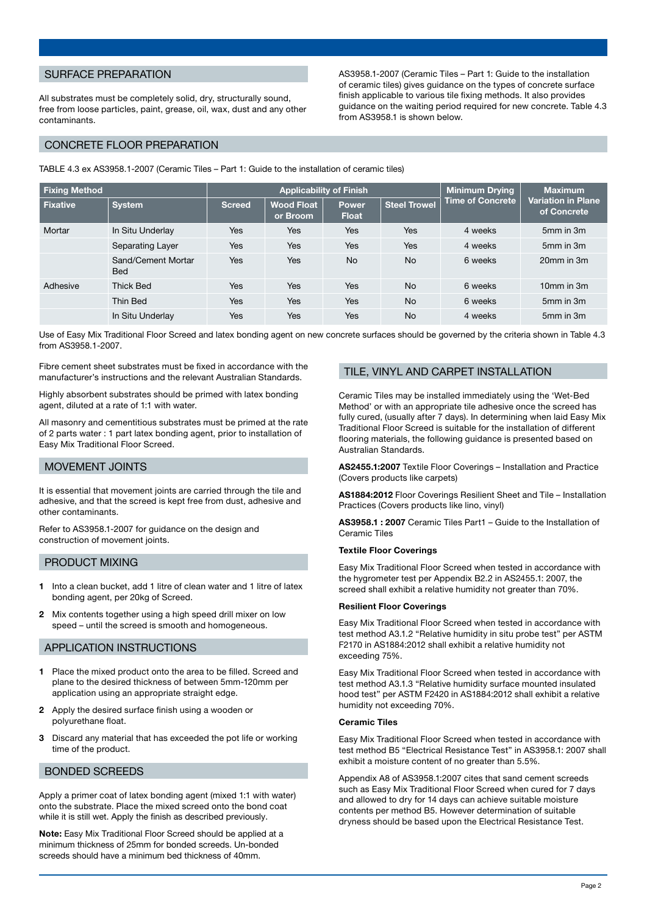## SURFACE PREPARATION

All substrates must be completely solid, dry, structurally sound, free from loose particles, paint, grease, oil, wax, dust and any other contaminants.

AS3958.1-2007 (Ceramic Tiles – Part 1: Guide to the installation of ceramic tiles) gives guidance on the types of concrete surface finish applicable to various tile fixing methods. It also provides guidance on the waiting period required for new concrete. Table 4.3 from AS3958.1 is shown below.

## CONCRETE FLOOR PREPARATION

TABLE 4.3 ex AS3958.1-2007 (Ceramic Tiles – Part 1: Guide to the installation of ceramic tiles)

| <b>Fixing Method</b> |                                  | <b>Applicability of Finish</b> |                               |                              |                     | <b>Minimum Drying</b>   | <b>Maximum</b>                                 |
|----------------------|----------------------------------|--------------------------------|-------------------------------|------------------------------|---------------------|-------------------------|------------------------------------------------|
| l Fixative           | <b>System</b>                    | Screed                         | <b>Wood Float</b><br>or Broom | <b>Power</b><br><b>Float</b> | <b>Steel Trowel</b> | <b>Time of Concrete</b> | Variation in Plane <sup>'</sup><br>of Concrete |
| Mortar               | In Situ Underlay                 | Yes                            | Yes                           | Yes                          | Yes                 | 4 weeks                 | 5mm in 3m                                      |
|                      | Separating Layer                 | Yes                            | Yes                           | Yes                          | Yes                 | 4 weeks                 | 5mm in 3m                                      |
|                      | Sand/Cement Mortar<br><b>Bed</b> | Yes                            | Yes                           | <b>No</b>                    | <b>No</b>           | 6 weeks                 | 20mm in 3m                                     |
| Adhesive             | <b>Thick Bed</b>                 | Yes                            | Yes                           | Yes                          | <b>No</b>           | 6 weeks                 | 10mm in 3m                                     |
|                      | Thin Bed                         | Yes                            | Yes                           | <b>Yes</b>                   | <b>No</b>           | 6 weeks                 | 5mm in 3m                                      |
|                      | In Situ Underlay                 | Yes                            | Yes                           | Yes                          | <b>No</b>           | 4 weeks                 | 5mm in 3m                                      |

Use of Easy Mix Traditional Floor Screed and latex bonding agent on new concrete surfaces should be governed by the criteria shown in Table 4.3 from AS3958.1-2007.

Fibre cement sheet substrates must be fixed in accordance with the manufacturer's instructions and the relevant Australian Standards.

Highly absorbent substrates should be primed with latex bonding agent, diluted at a rate of 1:1 with water.

All masonry and cementitious substrates must be primed at the rate of 2 parts water : 1 part latex bonding agent, prior to installation of Easy Mix Traditional Floor Screed.

#### MOVEMENT JOINTS

It is essential that movement joints are carried through the tile and adhesive, and that the screed is kept free from dust, adhesive and other contaminants.

Refer to AS3958.1-2007 for guidance on the design and construction of movement joints.

#### PRODUCT MIXING

- 1 Into a clean bucket, add 1 litre of clean water and 1 litre of latex bonding agent, per 20kg of Screed.
- 2 Mix contents together using a high speed drill mixer on low speed – until the screed is smooth and homogeneous.

#### APPLICATION INSTRUCTIONS

- 1 Place the mixed product onto the area to be filled. Screed and plane to the desired thickness of between 5mm-120mm per application using an appropriate straight edge.
- 2 Apply the desired surface finish using a wooden or polyurethane float.
- 3 Discard any material that has exceeded the pot life or working time of the product.

#### BONDED SCREEDS

Apply a primer coat of latex bonding agent (mixed 1:1 with water) onto the substrate. Place the mixed screed onto the bond coat while it is still wet. Apply the finish as described previously.

Note: Easy Mix Traditional Floor Screed should be applied at a minimum thickness of 25mm for bonded screeds. Un-bonded screeds should have a minimum bed thickness of 40mm.

#### TILE, VINYL AND CARPET INSTALLATION

Ceramic Tiles may be installed immediately using the 'Wet-Bed Method' or with an appropriate tile adhesive once the screed has fully cured, (usually after 7 days). In determining when laid Easy Mix Traditional Floor Screed is suitable for the installation of different flooring materials, the following guidance is presented based on Australian Standards.

AS2455.1:2007 Textile Floor Coverings – Installation and Practice (Covers products like carpets)

AS1884:2012 Floor Coverings Resilient Sheet and Tile – Installation Practices (Covers products like lino, vinyl)

AS3958.1 : 2007 Ceramic Tiles Part1 – Guide to the Installation of Ceramic Tiles

#### Textile Floor Coverings

Easy Mix Traditional Floor Screed when tested in accordance with the hygrometer test per Appendix B2.2 in AS2455.1: 2007, the screed shall exhibit a relative humidity not greater than 70%.

#### Resilient Floor Coverings

Easy Mix Traditional Floor Screed when tested in accordance with test method A3.1.2 "Relative humidity in situ probe test" per ASTM F2170 in AS1884:2012 shall exhibit a relative humidity not exceeding 75%.

Easy Mix Traditional Floor Screed when tested in accordance with test method A3.1.3 "Relative humidity surface mounted insulated hood test" per ASTM F2420 in AS1884:2012 shall exhibit a relative humidity not exceeding 70%.

#### Ceramic Tiles

Easy Mix Traditional Floor Screed when tested in accordance with test method B5 "Electrical Resistance Test" in AS3958.1: 2007 shall exhibit a moisture content of no greater than 5.5%.

Appendix A8 of AS3958.1:2007 cites that sand cement screeds such as Easy Mix Traditional Floor Screed when cured for 7 days and allowed to dry for 14 days can achieve suitable moisture contents per method B5. However determination of suitable dryness should be based upon the Electrical Resistance Test.